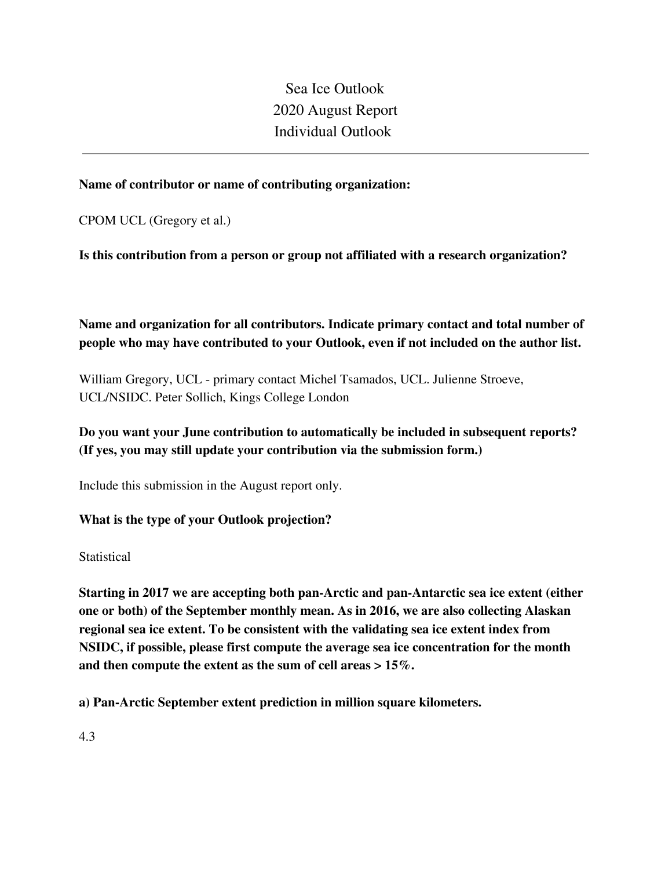Sea Ice Outlook 2020 August Report Individual Outlook

## **Name of contributor or name of contributing organization:**

CPOM UCL (Gregory et al.)

**Is this contribution from a person or group not affiliated with a research organization?** 

**Name and organization for all contributors. Indicate primary contact and total number of people who may have contributed to your Outlook, even if not included on the author list.**

William Gregory, UCL - primary contact Michel Tsamados, UCL. Julienne Stroeve, UCL/NSIDC. Peter Sollich, Kings College London

# **Do you want your June contribution to automatically be included in subsequent reports? (If yes, you may still update your contribution via the submission form.)**

Include this submission in the August report only.

**What is the type of your Outlook projection?** 

**Statistical** 

**Starting in 2017 we are accepting both pan-Arctic and pan-Antarctic sea ice extent (either one or both) of the September monthly mean. As in 2016, we are also collecting Alaskan regional sea ice extent. To be consistent with the validating sea ice extent index from NSIDC, if possible, please first compute the average sea ice concentration for the month and then compute the extent as the sum of cell areas > 15%.**

**a) Pan-Arctic September extent prediction in million square kilometers.**

4.3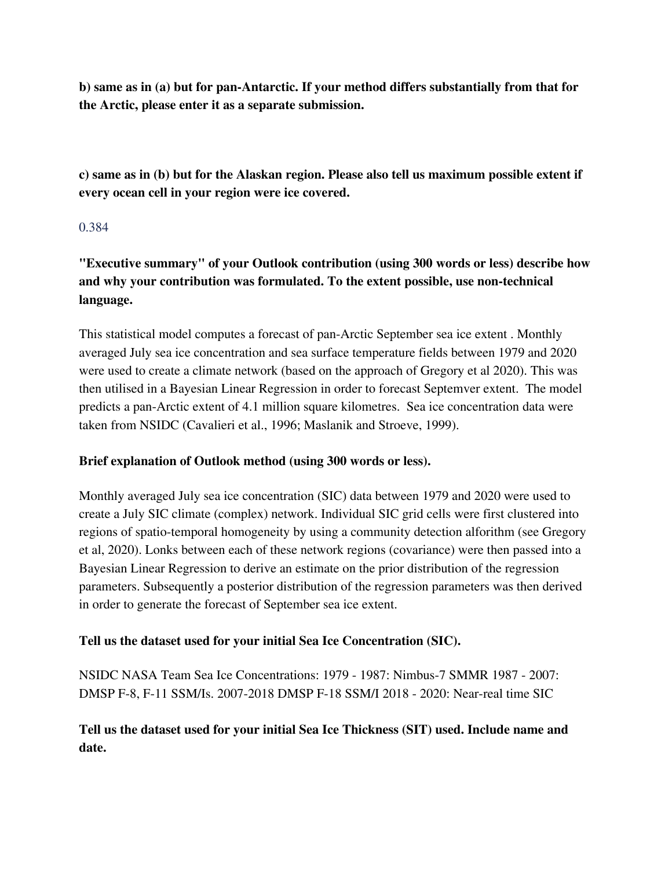**b) same as in (a) but for pan-Antarctic. If your method differs substantially from that for the Arctic, please enter it as a separate submission.**

**c) same as in (b) but for the Alaskan region. Please also tell us maximum possible extent if every ocean cell in your region were ice covered.**

## 0.384

**"Executive summary" of your Outlook contribution (using 300 words or less) describe how and why your contribution was formulated. To the extent possible, use non-technical language.**

This statistical model computes a forecast of pan-Arctic September sea ice extent . Monthly averaged July sea ice concentration and sea surface temperature fields between 1979 and 2020 were used to create a climate network (based on the approach of Gregory et al 2020). This was then utilised in a Bayesian Linear Regression in order to forecast Septemver extent. The model predicts a pan-Arctic extent of 4.1 million square kilometres. Sea ice concentration data were taken from NSIDC (Cavalieri et al., 1996; Maslanik and Stroeve, 1999).

## **Brief explanation of Outlook method (using 300 words or less).**

Monthly averaged July sea ice concentration (SIC) data between 1979 and 2020 were used to create a July SIC climate (complex) network. Individual SIC grid cells were first clustered into regions of spatio-temporal homogeneity by using a community detection alforithm (see Gregory et al, 2020). Lonks between each of these network regions (covariance) were then passed into a Bayesian Linear Regression to derive an estimate on the prior distribution of the regression parameters. Subsequently a posterior distribution of the regression parameters was then derived in order to generate the forecast of September sea ice extent.

## **Tell us the dataset used for your initial Sea Ice Concentration (SIC).**

NSIDC NASA Team Sea Ice Concentrations: 1979 - 1987: Nimbus-7 SMMR 1987 - 2007: DMSP F-8, F-11 SSM/Is. 2007-2018 DMSP F-18 SSM/I 2018 - 2020: Near-real time SIC

# **Tell us the dataset used for your initial Sea Ice Thickness (SIT) used. Include name and date.**